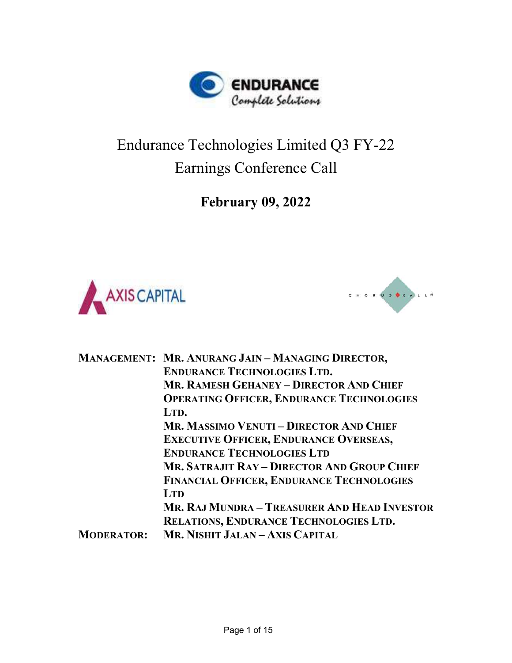

## Endurance Technologies Limited Q3 FY-22 Earnings Conference Call

February 09, 2022





|                   | <b>MANAGEMENT: MR. ANURANG JAIN - MANAGING DIRECTOR,</b><br><b>ENDURANCE TECHNOLOGIES LTD.</b> |
|-------------------|------------------------------------------------------------------------------------------------|
|                   | <b>MR. RAMESH GEHANEY - DIRECTOR AND CHIEF</b>                                                 |
|                   | <b>OPERATING OFFICER, ENDURANCE TECHNOLOGIES</b>                                               |
|                   | LTD.                                                                                           |
|                   | <b>MR. MASSIMO VENUTI – DIRECTOR AND CHIEF</b>                                                 |
|                   | <b>EXECUTIVE OFFICER, ENDURANCE OVERSEAS,</b>                                                  |
|                   | <b>ENDURANCE TECHNOLOGIES LTD</b>                                                              |
|                   | <b>MR. SATRAJIT RAY - DIRECTOR AND GROUP CHIEF</b>                                             |
|                   | <b>FINANCIAL OFFICER, ENDURANCE TECHNOLOGIES</b>                                               |
|                   | <b>LTD</b>                                                                                     |
|                   | MR. RAJ MUNDRA – TREASURER AND HEAD INVESTOR                                                   |
|                   | RELATIONS, ENDURANCE TECHNOLOGIES LTD.                                                         |
| <b>MODERATOR:</b> | MR. NISHIT JALAN - AXIS CAPITAL                                                                |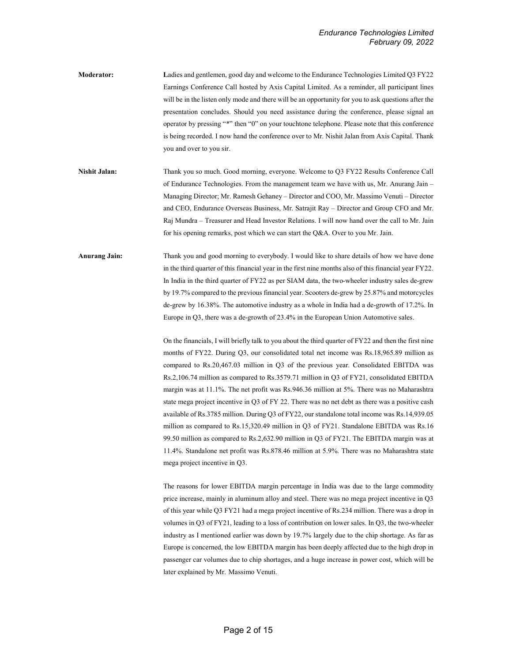Moderator: Ladies and gentlemen, good day and welcome to the Endurance Technologies Limited Q3 FY22 Earnings Conference Call hosted by Axis Capital Limited. As a reminder, all participant lines will be in the listen only mode and there will be an opportunity for you to ask questions after the presentation concludes. Should you need assistance during the conference, please signal an operator by pressing "\*" then "0" on your touchtone telephone. Please note that this conference is being recorded. I now hand the conference over to Mr. Nishit Jalan from Axis Capital. Thank you and over to you sir.

Nishit Jalan: Thank you so much. Good morning, everyone. Welcome to O3 FY22 Results Conference Call of Endurance Technologies. From the management team we have with us, Mr. Anurang Jain – Managing Director; Mr. Ramesh Gehaney – Director and COO, Mr. Massimo Venuti – Director and CEO, Endurance Overseas Business, Mr. Satrajit Ray – Director and Group CFO and Mr. Raj Mundra – Treasurer and Head Investor Relations. I will now hand over the call to Mr. Jain for his opening remarks, post which we can start the Q&A. Over to you Mr. Jain.

Anurang Jain: Thank you and good morning to everybody. I would like to share details of how we have done in the third quarter of this financial year in the first nine months also of this financial year FY22. In India in the third quarter of FY22 as per SIAM data, the two-wheeler industry sales de-grew by 19.7% compared to the previous financial year. Scooters de-grew by 25.87% and motorcycles de-grew by 16.38%. The automotive industry as a whole in India had a de-growth of 17.2%. In Europe in Q3, there was a de-growth of 23.4% in the European Union Automotive sales.

> On the financials, I will briefly talk to you about the third quarter of FY22 and then the first nine months of FY22. During Q3, our consolidated total net income was Rs.18,965.89 million as compared to Rs.20,467.03 million in Q3 of the previous year. Consolidated EBITDA was Rs.2,106.74 million as compared to Rs.3579.71 million in Q3 of FY21, consolidated EBITDA margin was at 11.1%. The net profit was Rs.946.36 million at 5%. There was no Maharashtra state mega project incentive in Q3 of FY 22. There was no net debt as there was a positive cash available of Rs.3785 million. During Q3 of FY22, our standalone total income was Rs.14,939.05 million as compared to Rs.15,320.49 million in Q3 of FY21. Standalone EBITDA was Rs.16 99.50 million as compared to Rs.2,632.90 million in Q3 of FY21. The EBITDA margin was at 11.4%. Standalone net profit was Rs.878.46 million at 5.9%. There was no Maharashtra state mega project incentive in Q3.

> The reasons for lower EBITDA margin percentage in India was due to the large commodity price increase, mainly in aluminum alloy and steel. There was no mega project incentive in Q3 of this year while Q3 FY21 had a mega project incentive of Rs.234 million. There was a drop in volumes in Q3 of FY21, leading to a loss of contribution on lower sales. In Q3, the two-wheeler industry as I mentioned earlier was down by 19.7% largely due to the chip shortage. As far as Europe is concerned, the low EBITDA margin has been deeply affected due to the high drop in passenger car volumes due to chip shortages, and a huge increase in power cost, which will be later explained by Mr. Massimo Venuti.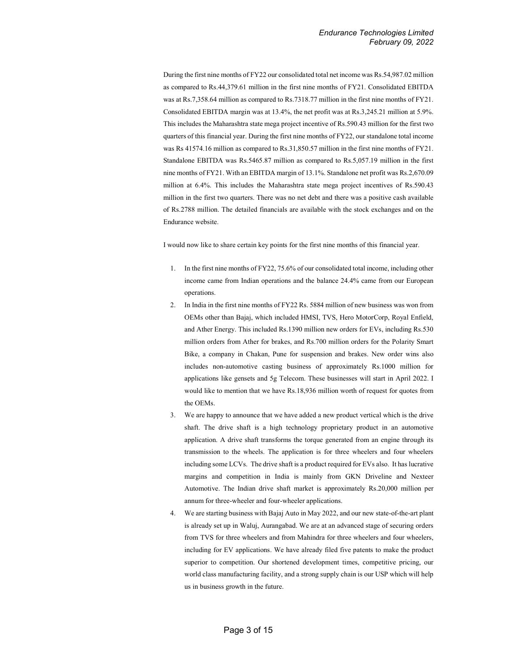During the first nine months of FY22 our consolidated total net income was Rs.54,987.02 million as compared to Rs.44,379.61 million in the first nine months of FY21. Consolidated EBITDA was at Rs.7,358.64 million as compared to Rs.7318.77 million in the first nine months of FY21. Consolidated EBITDA margin was at 13.4%, the net profit was at Rs.3,245.21 million at 5.9%. This includes the Maharashtra state mega project incentive of Rs.590.43 million for the first two quarters of this financial year. During the first nine months of FY22, our standalone total income was Rs 41574.16 million as compared to Rs.31,850.57 million in the first nine months of FY21. Standalone EBITDA was Rs.5465.87 million as compared to Rs.5,057.19 million in the first nine months of FY21. With an EBITDA margin of 13.1%. Standalone net profit was Rs.2,670.09 million at 6.4%. This includes the Maharashtra state mega project incentives of Rs.590.43 million in the first two quarters. There was no net debt and there was a positive cash available of Rs.2788 million. The detailed financials are available with the stock exchanges and on the Endurance website.

I would now like to share certain key points for the first nine months of this financial year.

- 1. In the first nine months of FY22, 75.6% of our consolidated total income, including other income came from Indian operations and the balance 24.4% came from our European operations.
- 2. In India in the first nine months of FY22 Rs. 5884 million of new business was won from OEMs other than Bajaj, which included HMSI, TVS, Hero MotorCorp, Royal Enfield, and Ather Energy. This included Rs.1390 million new orders for EVs, including Rs.530 million orders from Ather for brakes, and Rs.700 million orders for the Polarity Smart Bike, a company in Chakan, Pune for suspension and brakes. New order wins also includes non-automotive casting business of approximately Rs.1000 million for applications like gensets and 5g Telecom. These businesses will start in April 2022. I would like to mention that we have Rs.18,936 million worth of request for quotes from the OEMs.
- 3. We are happy to announce that we have added a new product vertical which is the drive shaft. The drive shaft is a high technology proprietary product in an automotive application. A drive shaft transforms the torque generated from an engine through its transmission to the wheels. The application is for three wheelers and four wheelers including some LCVs. The drive shaft is a product required for EVs also. It has lucrative margins and competition in India is mainly from GKN Driveline and Nexteer Automotive. The Indian drive shaft market is approximately Rs.20,000 million per annum for three-wheeler and four-wheeler applications.
- 4. We are starting business with Bajaj Auto in May 2022, and our new state-of-the-art plant is already set up in Waluj, Aurangabad. We are at an advanced stage of securing orders from TVS for three wheelers and from Mahindra for three wheelers and four wheelers, including for EV applications. We have already filed five patents to make the product superior to competition. Our shortened development times, competitive pricing, our world class manufacturing facility, and a strong supply chain is our USP which will help us in business growth in the future.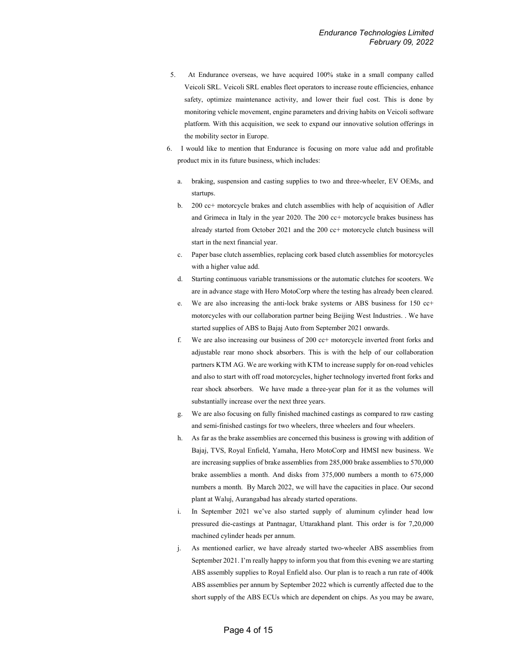- 5. At Endurance overseas, we have acquired 100% stake in a small company called Veicoli SRL. Veicoli SRL enables fleet operators to increase route efficiencies, enhance safety, optimize maintenance activity, and lower their fuel cost. This is done by monitoring vehicle movement, engine parameters and driving habits on Veicoli software platform. With this acquisition, we seek to expand our innovative solution offerings in the mobility sector in Europe.
- 6. I would like to mention that Endurance is focusing on more value add and profitable product mix in its future business, which includes:
	- a. braking, suspension and casting supplies to two and three-wheeler, EV OEMs, and startups.
	- b. 200 cc+ motorcycle brakes and clutch assemblies with help of acquisition of Adler and Grimeca in Italy in the year 2020. The 200 cc+ motorcycle brakes business has already started from October 2021 and the 200 cc+ motorcycle clutch business will start in the next financial year.
	- c. Paper base clutch assemblies, replacing cork based clutch assemblies for motorcycles with a higher value add.
	- d. Starting continuous variable transmissions or the automatic clutches for scooters. We are in advance stage with Hero MotoCorp where the testing has already been cleared.
	- e. We are also increasing the anti-lock brake systems or ABS business for 150 cc+ motorcycles with our collaboration partner being Beijing West Industries. . We have started supplies of ABS to Bajaj Auto from September 2021 onwards.
	- f. We are also increasing our business of 200 cc+ motorcycle inverted front forks and adjustable rear mono shock absorbers. This is with the help of our collaboration partners KTM AG. We are working with KTM to increase supply for on-road vehicles and also to start with off road motorcycles, higher technology inverted front forks and rear shock absorbers. We have made a three-year plan for it as the volumes will substantially increase over the next three years.
	- g. We are also focusing on fully finished machined castings as compared to raw casting and semi-finished castings for two wheelers, three wheelers and four wheelers.
	- h. As far as the brake assemblies are concerned this business is growing with addition of Bajaj, TVS, Royal Enfield, Yamaha, Hero MotoCorp and HMSI new business. We are increasing supplies of brake assemblies from 285,000 brake assemblies to 570,000 brake assemblies a month. And disks from 375,000 numbers a month to 675,000 numbers a month. By March 2022, we will have the capacities in place. Our second plant at Waluj, Aurangabad has already started operations.
	- i. In September 2021 we've also started supply of aluminum cylinder head low pressured die-castings at Pantnagar, Uttarakhand plant. This order is for 7,20,000 machined cylinder heads per annum.
	- j. As mentioned earlier, we have already started two-wheeler ABS assemblies from September 2021. I'm really happy to inform you that from this evening we are starting ABS assembly supplies to Royal Enfield also. Our plan is to reach a run rate of 400k ABS assemblies per annum by September 2022 which is currently affected due to the short supply of the ABS ECUs which are dependent on chips. As you may be aware,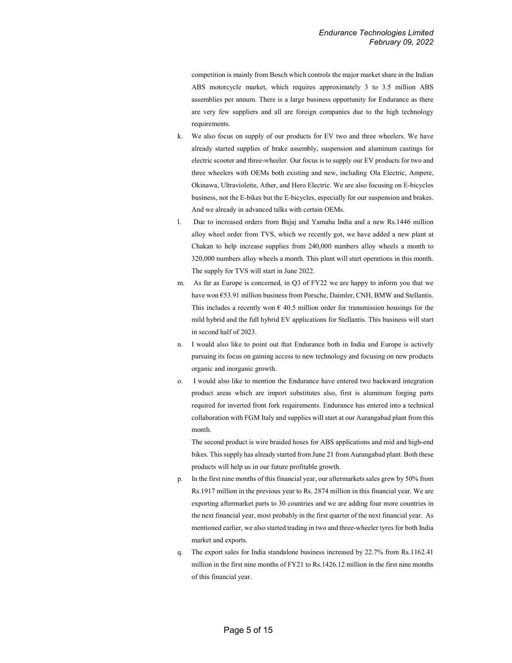competition is mainly from Bosch which controls the major market share in the Indian ABS motorcycle market, which requires approximately 3 to 3.5 million ABS assemblies per annum. There is a large business opportunity for Endurance as there are very few suppliers and all are foreign companies due to the high technology requirements.

- k. We also focus on supply of our products for EV two and three wheelers. We have already started supplies of brake assembly, suspension and aluminum castings for electric scooter and three-wheeler. Our focus is to supply our EV products for two and three wheelers with OEMs both existing and new, including Ola Electric, Ampere, Okinawa, Ultraviolette, Ather, and Hero Electric. We are also focusing on E-bicycles business, not the E-bikes but the E-bicycles, especially for our suspension and brakes. And we already in advanced talks with certain OEMs.
- l. Due to increased orders from Bajaj and Yamaha India and a new Rs.1446 million alloy wheel order from TVS, which we recently got, we have added a new plant at Chakan to help increase supplies from 240,000 numbers alloy wheels a month to 320,000 numbers alloy wheels a month. This plant will start operations in this month. The supply for TVS will start in June 2022.
- m. As far as Europe is concerned, in Q3 of FY22 we are happy to inform you that we have won €53.91 million business from Porsche, Daimler, CNH, BMW and Stellantis. This includes a recently won  $\epsilon$  40.5 million order for transmission housings for the mild hybrid and the full hybrid EV applications for Stellantis. This business will start in second half of 2023.
- n. I would also like to point out that Endurance both in India and Europe is actively pursuing its focus on gaining access to new technology and focusing on new products organic and inorganic growth.
- o. I would also like to mention the Endurance have entered two backward integration product areas which are import substitutes also, first is aluminum forging parts required for inverted front fork requirements. Endurance has entered into a technical collaboration with FGM Italy and supplies will start at our Aurangabad plant from this month.

The second product is wire braided hoses for ABS applications and mid and high-end bikes. This supply has already started from June 21 from Aurangabad plant. Both these products will help us in our future profitable growth.

- In the first nine months of this financial year, our aftermarkets sales grew by 50% from Rs.1917 million in the previous year to Rs. 2874 million in this financial year. We are exporting aftermarket parts to 30 countries and we are adding four more countries in the next financial year, most probably in the first quarter of the next financial year. As mentioned earlier, we also started trading in two and three-wheeler tyres for both India market and exports.
- q. The export sales for India standalone business increased by 22.7% from Rs.1162.41 million in the first nine months of FY21 to Rs.1426.12 million in the first nine months of this financial year.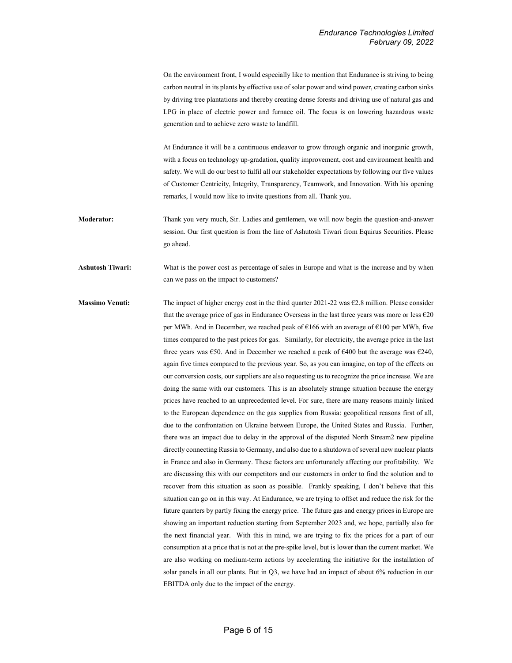On the environment front, I would especially like to mention that Endurance is striving to being carbon neutral in its plants by effective use of solar power and wind power, creating carbon sinks by driving tree plantations and thereby creating dense forests and driving use of natural gas and LPG in place of electric power and furnace oil. The focus is on lowering hazardous waste generation and to achieve zero waste to landfill.

At Endurance it will be a continuous endeavor to grow through organic and inorganic growth, with a focus on technology up-gradation, quality improvement, cost and environment health and safety. We will do our best to fulfil all our stakeholder expectations by following our five values of Customer Centricity, Integrity, Transparency, Teamwork, and Innovation. With his opening remarks, I would now like to invite questions from all. Thank you.

Moderator: Thank you very much, Sir. Ladies and gentlemen, we will now begin the question-and-answer session. Our first question is from the line of Ashutosh Tiwari from Equirus Securities. Please go ahead.

Ashutosh Tiwari: What is the power cost as percentage of sales in Europe and what is the increase and by when can we pass on the impact to customers?

Massimo Venuti: The impact of higher energy cost in the third quarter 2021-22 was  $62.8$  million. Please consider that the average price of gas in Endurance Overseas in the last three years was more or less  $\epsilon$ 20 per MWh. And in December, we reached peak of €166 with an average of €100 per MWh, five times compared to the past prices for gas. Similarly, for electricity, the average price in the last three years was  $\epsilon$ 50. And in December we reached a peak of  $\epsilon$ 400 but the average was  $\epsilon$ 240, again five times compared to the previous year. So, as you can imagine, on top of the effects on our conversion costs, our suppliers are also requesting us to recognize the price increase. We are doing the same with our customers. This is an absolutely strange situation because the energy prices have reached to an unprecedented level. For sure, there are many reasons mainly linked to the European dependence on the gas supplies from Russia: geopolitical reasons first of all, due to the confrontation on Ukraine between Europe, the United States and Russia. Further, there was an impact due to delay in the approval of the disputed North Stream2 new pipeline directly connecting Russia to Germany, and also due to a shutdown of several new nuclear plants in France and also in Germany. These factors are unfortunately affecting our profitability. We are discussing this with our competitors and our customers in order to find the solution and to recover from this situation as soon as possible. Frankly speaking, I don't believe that this situation can go on in this way. At Endurance, we are trying to offset and reduce the risk for the future quarters by partly fixing the energy price. The future gas and energy prices in Europe are showing an important reduction starting from September 2023 and, we hope, partially also for the next financial year. With this in mind, we are trying to fix the prices for a part of our consumption at a price that is not at the pre-spike level, but is lower than the current market. We are also working on medium-term actions by accelerating the initiative for the installation of solar panels in all our plants. But in Q3, we have had an impact of about 6% reduction in our EBITDA only due to the impact of the energy.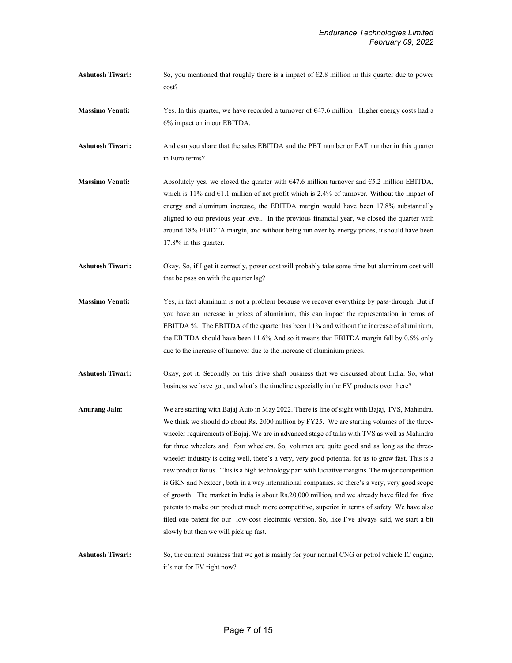- Ashutosh Tiwari: So, you mentioned that roughly there is a impact of  $\epsilon$ 2.8 million in this quarter due to power cost?
- Massimo Venuti: Yes. In this quarter, we have recorded a turnover of €47.6 million Higher energy costs had a 6% impact on in our EBITDA.
- Ashutosh Tiwari: And can you share that the sales EBITDA and the PBT number or PAT number in this quarter in Euro terms?
- **Massimo Venuti:** Absolutely yes, we closed the quarter with  $647.6$  million turnover and  $65.2$  million EBITDA, which is 11% and  $\epsilon$ 1.1 million of net profit which is 2.4% of turnover. Without the impact of energy and aluminum increase, the EBITDA margin would have been 17.8% substantially aligned to our previous year level. In the previous financial year, we closed the quarter with around 18% EBIDTA margin, and without being run over by energy prices, it should have been 17.8% in this quarter.
- Ashutosh Tiwari: Okay. So, if I get it correctly, power cost will probably take some time but aluminum cost will that be pass on with the quarter lag?
- Massimo Venuti: Yes, in fact aluminum is not a problem because we recover everything by pass-through. But if you have an increase in prices of aluminium, this can impact the representation in terms of EBITDA %. The EBITDA of the quarter has been 11% and without the increase of aluminium, the EBITDA should have been 11.6% And so it means that EBITDA margin fell by 0.6% only due to the increase of turnover due to the increase of aluminium prices.
- Ashutosh Tiwari: Okay, got it. Secondly on this drive shaft business that we discussed about India. So, what business we have got, and what's the timeline especially in the EV products over there?
- Anurang Jain: We are starting with Bajaj Auto in May 2022. There is line of sight with Bajaj, TVS, Mahindra. We think we should do about Rs. 2000 million by FY25. We are starting volumes of the threewheeler requirements of Bajaj. We are in advanced stage of talks with TVS as well as Mahindra for three wheelers and four wheelers. So, volumes are quite good and as long as the threewheeler industry is doing well, there's a very, very good potential for us to grow fast. This is a new product for us. This is a high technology part with lucrative margins. The major competition is GKN and Nexteer , both in a way international companies, so there's a very, very good scope of growth. The market in India is about Rs.20,000 million, and we already have filed for five patents to make our product much more competitive, superior in terms of safety. We have also filed one patent for our low-cost electronic version. So, like I've always said, we start a bit slowly but then we will pick up fast.
- Ashutosh Tiwari: So, the current business that we got is mainly for your normal CNG or petrol vehicle IC engine, it's not for EV right now?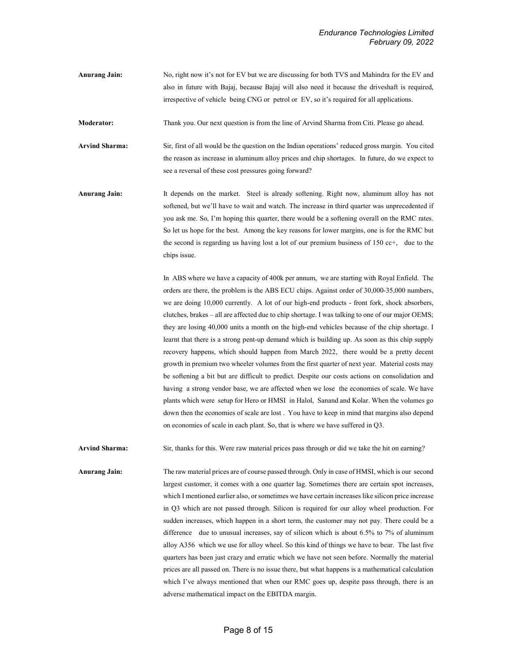Anurang Jain: No, right now it's not for EV but we are discussing for both TVS and Mahindra for the EV and also in future with Bajaj, because Bajaj will also need it because the driveshaft is required, irrespective of vehicle being CNG or petrol or EV, so it's required for all applications.

Moderator: Thank you. Our next question is from the line of Arvind Sharma from Citi. Please go ahead.

Arvind Sharma: Sir, first of all would be the question on the Indian operations' reduced gross margin. You cited the reason as increase in aluminum alloy prices and chip shortages. In future, do we expect to see a reversal of these cost pressures going forward?

Anurang Jain: It depends on the market. Steel is already softening. Right now, aluminum alloy has not softened, but we'll have to wait and watch. The increase in third quarter was unprecedented if you ask me. So, I'm hoping this quarter, there would be a softening overall on the RMC rates. So let us hope for the best. Among the key reasons for lower margins, one is for the RMC but the second is regarding us having lost a lot of our premium business of 150 cc+, due to the chips issue.

> In ABS where we have a capacity of 400k per annum, we are starting with Royal Enfield. The orders are there, the problem is the ABS ECU chips. Against order of 30,000-35,000 numbers, we are doing 10,000 currently. A lot of our high-end products - front fork, shock absorbers, clutches, brakes – all are affected due to chip shortage. I was talking to one of our major OEMS; they are losing 40,000 units a month on the high-end vehicles because of the chip shortage. I learnt that there is a strong pent-up demand which is building up. As soon as this chip supply recovery happens, which should happen from March 2022, there would be a pretty decent growth in premium two wheeler volumes from the first quarter of next year. Material costs may be softening a bit but are difficult to predict. Despite our costs actions on consolidation and having a strong vendor base, we are affected when we lose the economies of scale. We have plants which were setup for Hero or HMSI in Halol, Sanand and Kolar. When the volumes go down then the economies of scale are lost . You have to keep in mind that margins also depend on economies of scale in each plant. So, that is where we have suffered in Q3.

Arvind Sharma: Sir, thanks for this. Were raw material prices pass through or did we take the hit on earning?

Anurang Jain: The raw material prices are of course passed through. Only in case of HMSI, which is our second largest customer, it comes with a one quarter lag. Sometimes there are certain spot increases, which I mentioned earlier also, or sometimes we have certain increases like silicon price increase in Q3 which are not passed through. Silicon is required for our alloy wheel production. For sudden increases, which happen in a short term, the customer may not pay. There could be a difference due to unusual increases, say of silicon which is about 6.5% to 7% of aluminum alloy A356 which we use for alloy wheel. So this kind of things we have to bear. The last five quarters has been just crazy and erratic which we have not seen before. Normally the material prices are all passed on. There is no issue there, but what happens is a mathematical calculation which I've always mentioned that when our RMC goes up, despite pass through, there is an adverse mathematical impact on the EBITDA margin.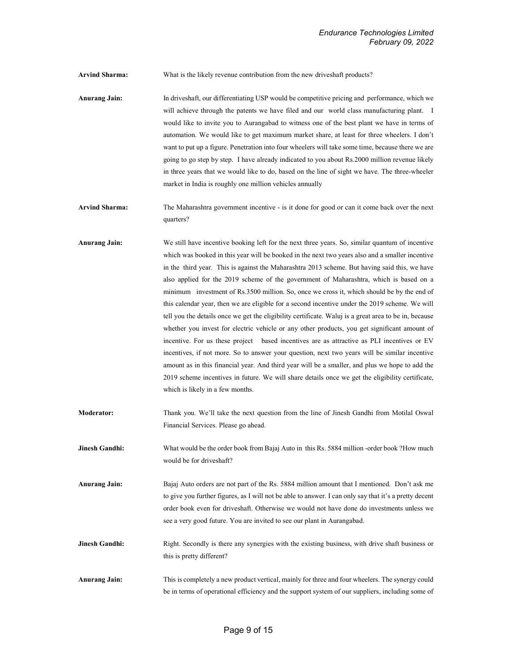Arvind Sharma: What is the likely revenue contribution from the new drives haft products?

Anurang Jain: In driveshaft, our differentiating USP would be competitive pricing and performance, which we will achieve through the patents we have filed and our world class manufacturing plant. I would like to invite you to Aurangabad to witness one of the best plant we have in terms of automation. We would like to get maximum market share, at least for three wheelers. I don't want to put up a figure. Penetration into four wheelers will take some time, because there we are going to go step by step. I have already indicated to you about Rs.2000 million revenue likely in three years that we would like to do, based on the line of sight we have. The three-wheeler market in India is roughly one million vehicles annually

Arvind Sharma: The Maharashtra government incentive - is it done for good or can it come back over the next quarters?

Anurang Jain: We still have incentive booking left for the next three years. So, similar quantum of incentive which was booked in this year will be booked in the next two years also and a smaller incentive in the third year. This is against the Maharashtra 2013 scheme. But having said this, we have also applied for the 2019 scheme of the government of Maharashtra, which is based on a minimum investment of Rs.3500 million. So, once we cross it, which should be by the end of this calendar year, then we are eligible for a second incentive under the 2019 scheme. We will tell you the details once we get the eligibility certificate. Waluj is a great area to be in, because whether you invest for electric vehicle or any other products, you get significant amount of incentive. For us these project based incentives are as attractive as PLI incentives or EV incentives, if not more. So to answer your question, next two years will be similar incentive amount as in this financial year. And third year will be a smaller, and plus we hope to add the 2019 scheme incentives in future. We will share details once we get the eligibility certificate, which is likely in a few months.

Moderator: Thank you. We'll take the next question from the line of Jinesh Gandhi from Motilal Oswal Financial Services. Please go ahead.

**Jinesh Gandhi:** What would be the order book from Bajaj Auto in this Rs. 5884 million -order book ?How much would be for driveshaft?

Anurang Jain: Bajaj Auto orders are not part of the Rs. 5884 million amount that I mentioned. Don't ask me to give you further figures, as I will not be able to answer. I can only say that it's a pretty decent order book even for driveshaft. Otherwise we would not have done do investments unless we see a very good future. You are invited to see our plant in Aurangabad.

Jinesh Gandhi: Right. Secondly is there any synergies with the existing business, with drive shaft business or this is pretty different?

Anurang Jain: This is completely a new product vertical, mainly for three and four wheelers. The synergy could be in terms of operational efficiency and the support system of our suppliers, including some of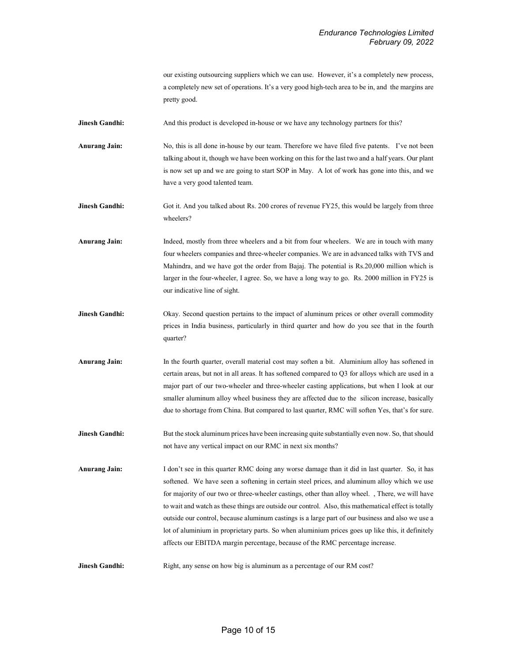our existing outsourcing suppliers which we can use. However, it's a completely new process, a completely new set of operations. It's a very good high-tech area to be in, and the margins are pretty good.

**Jinesh Gandhi:** And this product is developed in-house or we have any technology partners for this?

Anurang Jain: No, this is all done in-house by our team. Therefore we have filed five patents. I've not been talking about it, though we have been working on this for the last two and a half years. Our plant is now set up and we are going to start SOP in May. A lot of work has gone into this, and we have a very good talented team.

Jinesh Gandhi: Got it. And you talked about Rs. 200 crores of revenue FY25, this would be largely from three wheelers?

Anurang Jain: Indeed, mostly from three wheelers and a bit from four wheelers. We are in touch with many four wheelers companies and three-wheeler companies. We are in advanced talks with TVS and Mahindra, and we have got the order from Bajaj. The potential is Rs.20,000 million which is larger in the four-wheeler, I agree. So, we have a long way to go. Rs. 2000 million in FY25 is our indicative line of sight.

- Jinesh Gandhi: Okay. Second question pertains to the impact of aluminum prices or other overall commodity prices in India business, particularly in third quarter and how do you see that in the fourth quarter?
- Anurang Jain: In the fourth quarter, overall material cost may soften a bit. Aluminium alloy has softened in certain areas, but not in all areas. It has softened compared to Q3 for alloys which are used in a major part of our two-wheeler and three-wheeler casting applications, but when I look at our smaller aluminum alloy wheel business they are affected due to the silicon increase, basically due to shortage from China. But compared to last quarter, RMC will soften Yes, that's for sure.
- **Jinesh Gandhi:** But the stock aluminum prices have been increasing quite substantially even now. So, that should not have any vertical impact on our RMC in next six months?

Anurang Jain: I don't see in this quarter RMC doing any worse damage than it did in last quarter. So, it has softened. We have seen a softening in certain steel prices, and aluminum alloy which we use for majority of our two or three-wheeler castings, other than alloy wheel. , There, we will have to wait and watch as these things are outside our control. Also, this mathematical effect is totally outside our control, because aluminum castings is a large part of our business and also we use a lot of aluminium in proprietary parts. So when aluminium prices goes up like this, it definitely affects our EBITDA margin percentage, because of the RMC percentage increase.

**Jinesh Gandhi:** Right, any sense on how big is aluminum as a percentage of our RM cost?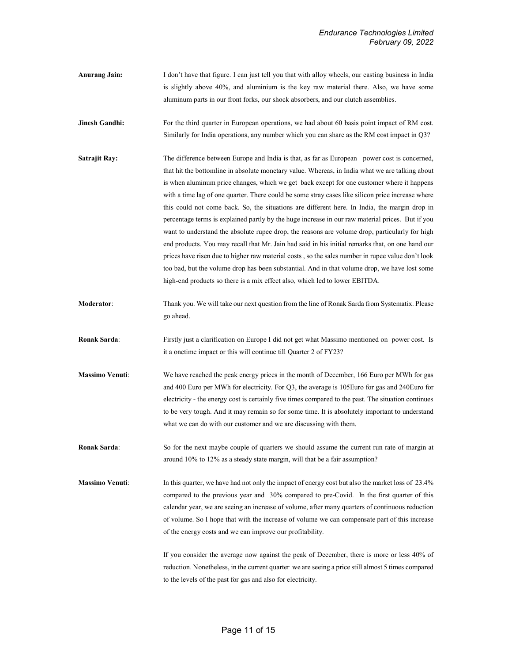- Anurang Jain: I don't have that figure. I can just tell you that with alloy wheels, our casting business in India is slightly above 40%, and aluminium is the key raw material there. Also, we have some aluminum parts in our front forks, our shock absorbers, and our clutch assemblies.
- **Jinesh Gandhi:** For the third quarter in European operations, we had about 60 basis point impact of RM cost. Similarly for India operations, any number which you can share as the RM cost impact in Q3?
- Satrajit Ray: The difference between Europe and India is that, as far as European power cost is concerned, that hit the bottomline in absolute monetary value. Whereas, in India what we are talking about is when aluminum price changes, which we get back except for one customer where it happens with a time lag of one quarter. There could be some stray cases like silicon price increase where this could not come back. So, the situations are different here. In India, the margin drop in percentage terms is explained partly by the huge increase in our raw material prices. But if you want to understand the absolute rupee drop, the reasons are volume drop, particularly for high end products. You may recall that Mr. Jain had said in his initial remarks that, on one hand our prices have risen due to higher raw material costs , so the sales number in rupee value don't look too bad, but the volume drop has been substantial. And in that volume drop, we have lost some high-end products so there is a mix effect also, which led to lower EBITDA.
- Moderator: Thank you. We will take our next question from the line of Ronak Sarda from Systematix. Please go ahead.
- Ronak Sarda: Firstly just a clarification on Europe I did not get what Massimo mentioned on power cost. Is it a onetime impact or this will continue till Quarter 2 of FY23?
- Massimo Venuti: We have reached the peak energy prices in the month of December, 166 Euro per MWh for gas and 400 Euro per MWh for electricity. For Q3, the average is 105Euro for gas and 240Euro for electricity - the energy cost is certainly five times compared to the past. The situation continues to be very tough. And it may remain so for some time. It is absolutely important to understand what we can do with our customer and we are discussing with them.
- Ronak Sarda: So for the next maybe couple of quarters we should assume the current run rate of margin at around 10% to 12% as a steady state margin, will that be a fair assumption?
- Massimo Venuti: In this quarter, we have had not only the impact of energy cost but also the market loss of 23.4% compared to the previous year and 30% compared to pre-Covid. In the first quarter of this calendar year, we are seeing an increase of volume, after many quarters of continuous reduction of volume. So I hope that with the increase of volume we can compensate part of this increase of the energy costs and we can improve our profitability.

If you consider the average now against the peak of December, there is more or less 40% of reduction. Nonetheless, in the current quarter we are seeing a price still almost 5 times compared to the levels of the past for gas and also for electricity.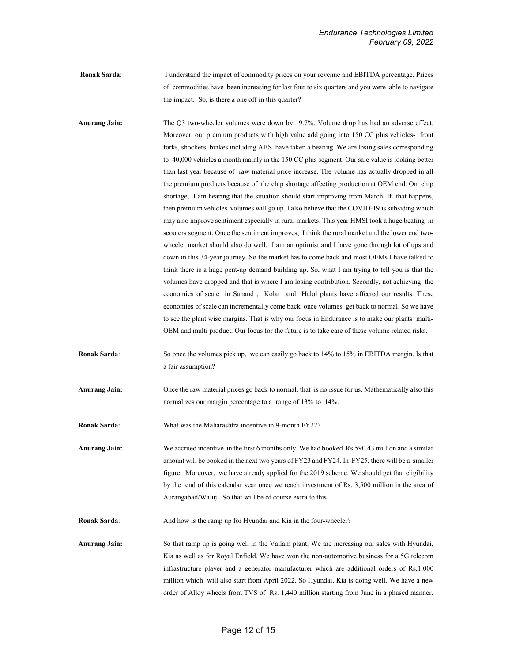Ronak Sarda: I understand the impact of commodity prices on your revenue and EBITDA percentage. Prices of commodities have been increasing for last four to six quarters and you were able to navigate the impact. So, is there a one off in this quarter?

Anurang Jain: The Q3 two-wheeler volumes were down by 19.7%. Volume drop has had an adverse effect. Moreover, our premium products with high value add going into 150 CC plus vehicles- front forks, shockers, brakes including ABS have taken a beating. We are losing sales corresponding to 40,000 vehicles a month mainly in the 150 CC plus segment. Our sale value is looking better than last year because of raw material price increase. The volume has actually dropped in all the premium products because of the chip shortage affecting production at OEM end. On chip shortage, I am hearing that the situation should start improving from March. If that happens, then premium vehicles volumes will go up. I also believe that the COVID-19 is subsiding which may also improve sentiment especially in rural markets. This year HMSI took a huge beating in scooters segment. Once the sentiment improves, I think the rural market and the lower end twowheeler market should also do well. I am an optimist and I have gone through lot of ups and down in this 34-year journey. So the market has to come back and most OEMs I have talked to think there is a huge pent-up demand building up. So, what I am trying to tell you is that the volumes have dropped and that is where I am losing contribution. Secondly, not achieving the economies of scale in Sanand , Kolar and Halol plants have affected our results. These economies of scale can incrementally come back once volumes get back to normal. So we have to see the plant wise margins. That is why our focus in Endurance is to make our plants multi-OEM and multi product. Our focus for the future is to take care of these volume related risks.

Ronak Sarda: So once the volumes pick up, we can easily go back to 14% to 15% in EBITDA margin. Is that a fair assumption?

Anurang Jain: Once the raw material prices go back to normal, that is no issue for us. Mathematically also this normalizes our margin percentage to a range of 13% to 14%.

Ronak Sarda: What was the Maharashtra incentive in 9-month FY22?

Anurang Jain: We accrued incentive in the first 6 months only. We had booked Rs.590.43 million and a similar amount will be booked in the next two years of FY23 and FY24. In FY25, there will be a smaller figure. Moreover, we have already applied for the 2019 scheme. We should get that eligibility by the end of this calendar year once we reach investment of Rs. 3,500 million in the area of Aurangabad/Waluj. So that will be of course extra to this.

Ronak Sarda: And how is the ramp up for Hyundai and Kia in the four-wheeler?

Anurang Jain: So that ramp up is going well in the Vallam plant. We are increasing our sales with Hyundai, Kia as well as for Royal Enfield. We have won the non-automotive business for a 5G telecom infrastructure player and a generator manufacturer which are additional orders of Rs,1,000 million which will also start from April 2022. So Hyundai, Kia is doing well. We have a new order of Alloy wheels from TVS of Rs. 1,440 million starting from June in a phased manner.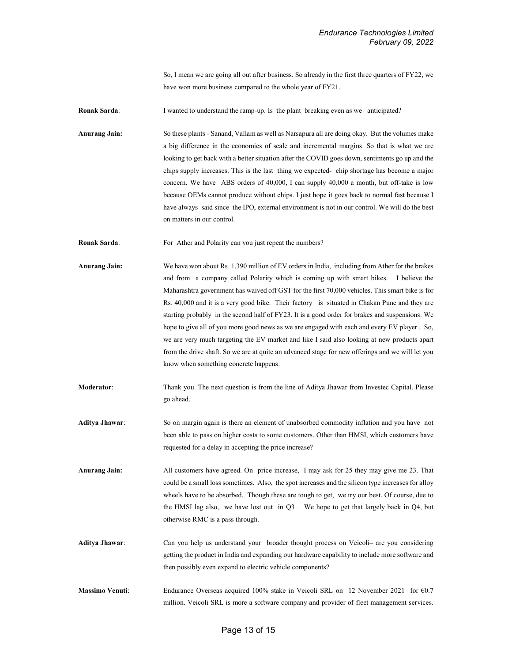So, I mean we are going all out after business. So already in the first three quarters of FY22, we have won more business compared to the whole year of FY21.

Ronak Sarda: I wanted to understand the ramp-up. Is the plant breaking even as we anticipated?

Anurang Jain: So these plants - Sanand, Vallam as well as Narsapura all are doing okay. But the volumes make a big difference in the economies of scale and incremental margins. So that is what we are looking to get back with a better situation after the COVID goes down, sentiments go up and the chips supply increases. This is the last thing we expected- chip shortage has become a major concern. We have ABS orders of 40,000, I can supply 40,000 a month, but off-take is low because OEMs cannot produce without chips. I just hope it goes back to normal fast because I have always said since the IPO, external environment is not in our control. We will do the best on matters in our control.

Ronak Sarda: For Ather and Polarity can you just repeat the numbers?

Anurang Jain: We have won about Rs. 1,390 million of EV orders in India, including from Ather for the brakes and from a company called Polarity which is coming up with smart bikes. I believe the Maharashtra government has waived off GST for the first 70,000 vehicles. This smart bike is for Rs. 40,000 and it is a very good bike. Their factory is situated in Chakan Pune and they are starting probably in the second half of FY23. It is a good order for brakes and suspensions. We hope to give all of you more good news as we are engaged with each and every EV player . So, we are very much targeting the EV market and like I said also looking at new products apart from the drive shaft. So we are at quite an advanced stage for new offerings and we will let you know when something concrete happens.

Moderator: Thank you. The next question is from the line of Aditya Jhawar from Investec Capital. Please go ahead.

Aditya Jhawar: So on margin again is there an element of unabsorbed commodity inflation and you have not been able to pass on higher costs to some customers. Other than HMSI, which customers have requested for a delay in accepting the price increase?

Anurang Jain: All customers have agreed. On price increase, I may ask for 25 they may give me 23. That could be a small loss sometimes. Also, the spot increases and the silicon type increases for alloy wheels have to be absorbed. Though these are tough to get, we try our best. Of course, due to the HMSI lag also, we have lost out in Q3 . We hope to get that largely back in Q4, but otherwise RMC is a pass through.

Aditya Jhawar: Can you help us understand your broader thought process on Veicoli- are you considering getting the product in India and expanding our hardware capability to include more software and then possibly even expand to electric vehicle components?

Massimo Venuti: Endurance Overseas acquired 100% stake in Veicoli SRL on 12 November 2021 for €0.7 million. Veicoli SRL is more a software company and provider of fleet management services.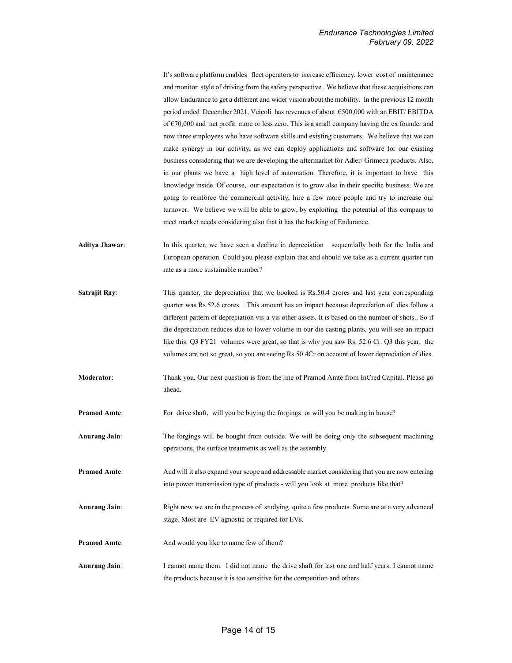It's software platform enables fleet operators to increase efficiency, lower cost of maintenance and monitor style of driving from the safety perspective. We believe that these acquisitions can allow Endurance to get a different and wider vision about the mobility. In the previous 12 month period ended December 2021, Veicoli has revenues of about €500,000 with an EBIT/ EBITDA of €70,000 and net profit more or less zero. This is a small company having the ex founder and now three employees who have software skills and existing customers. We believe that we can make synergy in our activity, as we can deploy applications and software for our existing business considering that we are developing the aftermarket for Adler/ Grimeca products. Also, in our plants we have a high level of automation. Therefore, it is important to have this knowledge inside. Of course, our expectation is to grow also in their specific business. We are going to reinforce the commercial activity, hire a few more people and try to increase our turnover. We believe we will be able to grow, by exploiting the potential of this company to meet market needs considering also that it has the backing of Endurance.

- Aditya Jhawar: In this quarter, we have seen a decline in depreciation sequentially both for the India and European operation. Could you please explain that and should we take as a current quarter run rate as a more sustainable number?
- Satrajit Ray: This quarter, the depreciation that we booked is Rs.50.4 crores and last year corresponding quarter was Rs.52.6 crores . This amount has an impact because depreciation of dies follow a different pattern of depreciation vis-a-vis other assets. It is based on the number of shots.. So if die depreciation reduces due to lower volume in our die casting plants, you will see an impact like this. Q3 FY21 volumes were great, so that is why you saw Rs. 52.6 Cr. Q3 this year, the volumes are not so great, so you are seeing Rs.50.4Cr on account of lower depreciation of dies.
- Moderator: Thank you. Our next question is from the line of Pramod Amte from InCred Capital. Please go ahead.
- Pramod Amte: For drive shaft, will you be buying the forgings or will you be making in house?
- Anurang Jain: The forgings will be bought from outside. We will be doing only the subsequent machining operations, the surface treatments as well as the assembly.
- Pramod Amte: And will it also expand your scope and addressable market considering that you are now entering into power transmission type of products - will you look at more products like that?
- Anurang Jain: Right now we are in the process of studying quite a few products. Some are at a very advanced stage. Most are EV agnostic or required for EVs.
- Pramod Amte: And would you like to name few of them?
- Anurang Jain: I cannot name them. I did not name the drive shaft for last one and half years. I cannot name the products because it is too sensitive for the competition and others.